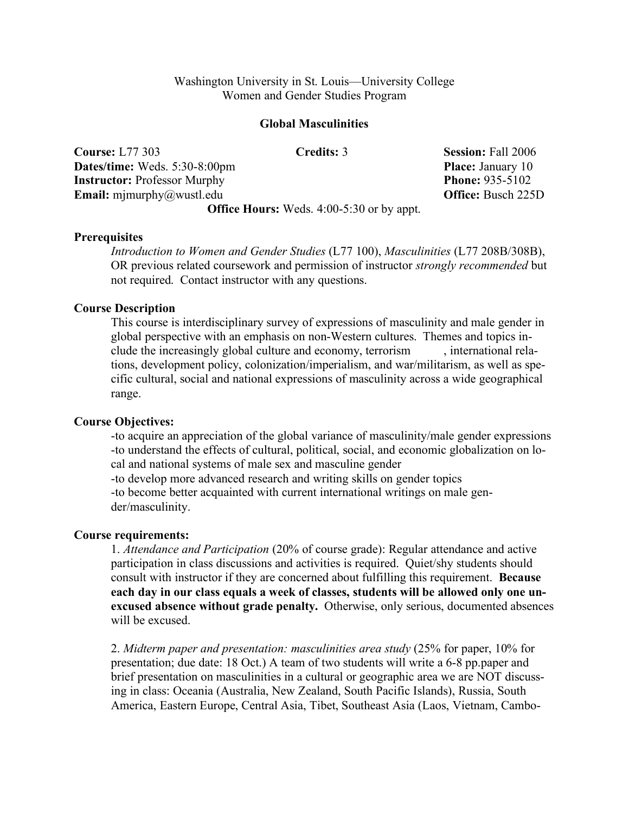# Washington University in St. Louis—University College Women and Gender Studies Program

#### Global Masculinities

Course: L77 303 Credits: 3 Session: Fall 2006 **Dates/time:** Weds. 5:30-8:00pm **Place:** January 10 **Instructor:** Professor Murphy Phone: 935-5102 Email: mjmurphy@wustl.edu Office: Busch 225D Office Hours: Weds. 4:00-5:30 or by appt.

#### **Prerequisites**

*Introduction to Women and Gender Studies* (L77 100), *Masculinities* (L77 208B/308B), OR previous related coursework and permission of instructor *strongly recommended* but not required. Contact instructor with any questions.

#### Course Description

This course is interdisciplinary survey of expressions of masculinity and male gender in global perspective with an emphasis on non-Western cultures. Themes and topics include the increasingly global culture and economy, terrorism, international relations, development policy, colonization/imperialism, and war/militarism, as well as specific cultural, social and national expressions of masculinity across a wide geographical range.

#### Course Objectives:

-to acquire an appreciation of the global variance of masculinity/male gender expressions -to understand the effects of cultural, political, social, and economic globalization on local and national systems of male sex and masculine gender

-to develop more advanced research and writing skills on gender topics

-to become better acquainted with current international writings on male gender/masculinity.

#### Course requirements:

1. *Attendance and Participation* (20% of course grade): Regular attendance and active participation in class discussions and activities is required. Quiet/shy students should consult with instructor if they are concerned about fulfilling this requirement. Because each day in our class equals a week of classes, students will be allowed only one unexcused absence without grade penalty. Otherwise, only serious, documented absences will be excused.

2. *Midterm paper and presentation: masculinities area study* (25% for paper, 10% for presentation; due date: 18 Oct.) A team of two students will write a 6-8 pp.paper and brief presentation on masculinities in a cultural or geographic area we are NOT discussing in class: Oceania (Australia, New Zealand, South Pacific Islands), Russia, South America, Eastern Europe, Central Asia, Tibet, Southeast Asia (Laos, Vietnam, Cambo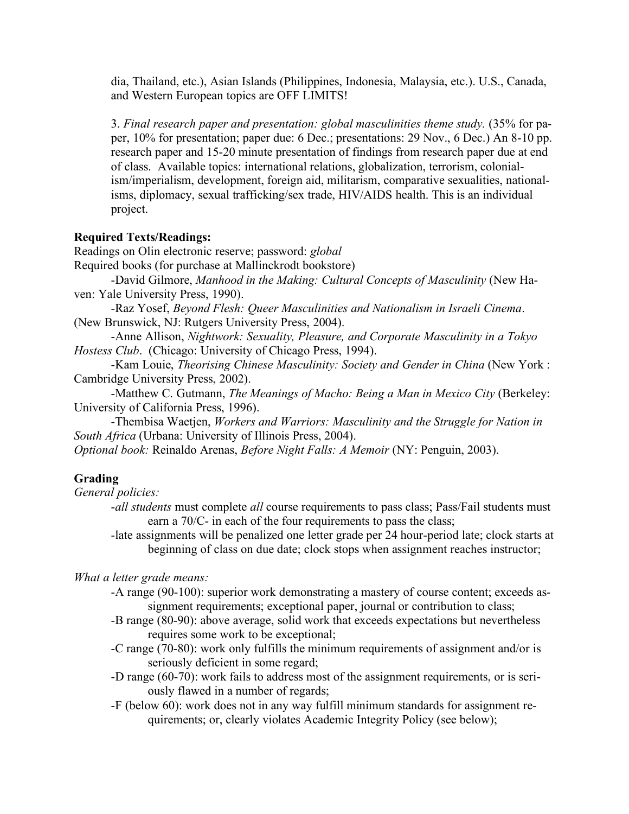dia, Thailand, etc.), Asian Islands (Philippines, Indonesia, Malaysia, etc.). U.S., Canada, and Western European topics are OFF LIMITS!

3. *Final research paper and presentation: global masculinities theme study.* (35% for paper, 10% for presentation; paper due: 6 Dec.; presentations: 29 Nov., 6 Dec.) An 8-10 pp. research paper and 15-20 minute presentation of findings from research paper due at end of class. Available topics: international relations, globalization, terrorism, colonialism/imperialism, development, foreign aid, militarism, comparative sexualities, nationalisms, diplomacy, sexual trafficking/sex trade, HIV/AIDS health. This is an individual project.

## Required Texts/Readings:

Readings on Olin electronic reserve; password: *global* Required books (for purchase at Mallinckrodt bookstore)

-David Gilmore, *Manhood in the Making: Cultural Concepts of Masculinity* (New Haven: Yale University Press, 1990).

-Raz Yosef, *Beyond Flesh: Queer Masculinities and Nationalism in Israeli Cinema*. (New Brunswick, NJ: Rutgers University Press, 2004).

-Anne Allison, *Nightwork: Sexuality, Pleasure, and Corporate Masculinity in a Tokyo Hostess Club*. (Chicago: University of Chicago Press, 1994).

-Kam Louie, *Theorising Chinese Masculinity: Society and Gender in China* (New York : Cambridge University Press, 2002).

-Matthew C. Gutmann, *The Meanings of Macho: Being a Man in Mexico City* (Berkeley: University of California Press, 1996).

-Thembisa Waetjen, *Workers and Warriors: Masculinity and the Struggle for Nation in South Africa* (Urbana: University of Illinois Press, 2004).

*Optional book:* Reinaldo Arenas, *Before Night Falls: A Memoir* (NY: Penguin, 2003).

# Grading

*General policies:*

- -*all students* must complete *all* course requirements to pass class; Pass/Fail students must earn a 70/C- in each of the four requirements to pass the class;
- -late assignments will be penalized one letter grade per 24 hour-period late; clock starts at beginning of class on due date; clock stops when assignment reaches instructor;

# *What a letter grade means:*

- -A range (90-100): superior work demonstrating a mastery of course content; exceeds assignment requirements; exceptional paper, journal or contribution to class;
- -B range (80-90): above average, solid work that exceeds expectations but nevertheless requires some work to be exceptional;
- -C range (70-80): work only fulfills the minimum requirements of assignment and/or is seriously deficient in some regard;
- -D range (60-70): work fails to address most of the assignment requirements, or is seriously flawed in a number of regards;
- -F (below 60): work does not in any way fulfill minimum standards for assignment requirements; or, clearly violates Academic Integrity Policy (see below);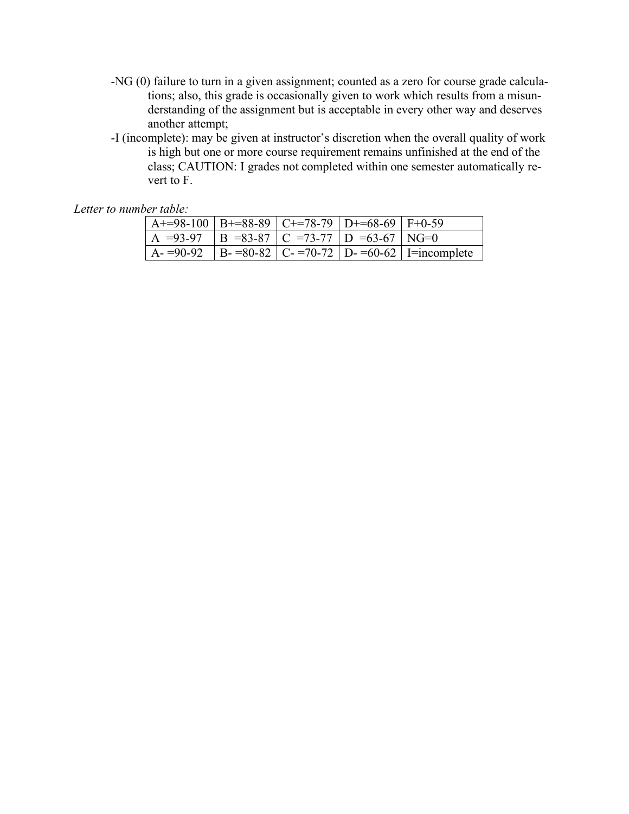- -NG (0) failure to turn in a given assignment; counted as a zero for course grade calculations; also, this grade is occasionally given to work which results from a misunderstanding of the assignment but is acceptable in every other way and deserves another attempt;
- -I (incomplete): may be given at instructor's discretion when the overall quality of work is high but one or more course requirement remains unfinished at the end of the class; CAUTION: I grades not completed within one semester automatically revert to F.

*Letter to number table:*

| $A+=98-100$ B+=88-89 C+=78-79 D+=68-69 F+0-59          |  |  |  |                                                              |
|--------------------------------------------------------|--|--|--|--------------------------------------------------------------|
| $A = 93-97$ $B = 83-87$ $C = 73-77$ $D = 63-67$ $NG=0$ |  |  |  |                                                              |
|                                                        |  |  |  | A- =90-92   B- =80-82   C- =70-72   D- =60-62   I=incomplete |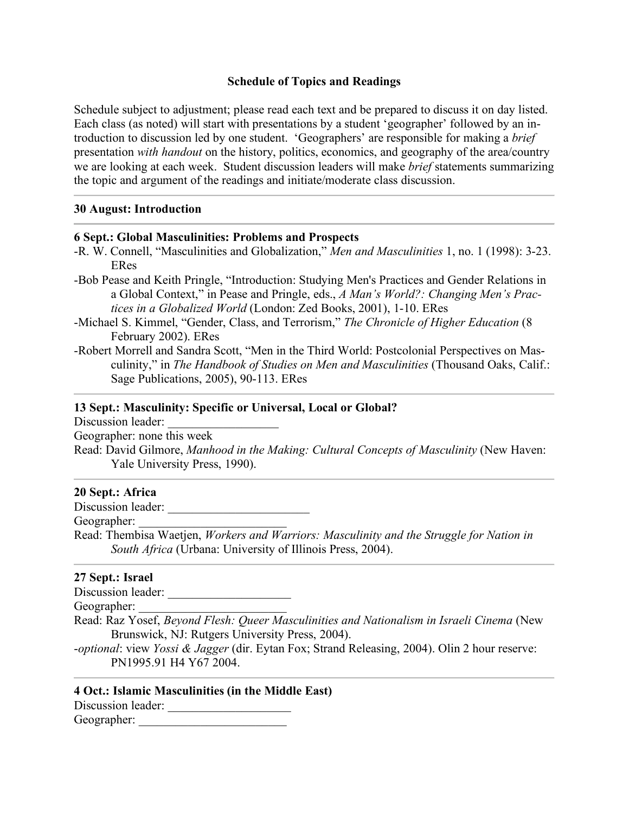# Schedule of Topics and Readings

Schedule subject to adjustment; please read each text and be prepared to discuss it on day listed. Each class (as noted) will start with presentations by a student 'geographer' followed by an introduction to discussion led by one student. 'Geographers' are responsible for making a *brief* presentation *with handout* on the history, politics, economics, and geography of the area/country we are looking at each week. Student discussion leaders will make *brief* statements summarizing the topic and argument of the readings and initiate/moderate class discussion.

## 30 August: Introduction

# 6 Sept.: Global Masculinities: Problems and Prospects

- -R. W. Connell, "Masculinities and Globalization," *Men and Masculinities* 1, no. 1 (1998): 3-23. ERes
- -Bob Pease and Keith Pringle, "Introduction: Studying Men's Practices and Gender Relations in a Global Context," in Pease and Pringle, eds., *A Man's World?: Changing Men's Practices in a Globalized World* (London: Zed Books, 2001), 1-10. ERes
- -Michael S. Kimmel, "Gender, Class, and Terrorism," *The Chronicle of Higher Education* (8 February 2002). ERes
- -Robert Morrell and Sandra Scott, "Men in the Third World: Postcolonial Perspectives on Masculinity," in *The Handbook of Studies on Men and Masculinities* (Thousand Oaks, Calif.: Sage Publications, 2005), 90-113. ERes

### 13 Sept.: Masculinity: Specific or Universal, Local or Global?

Discussion leader:

Geographer: none this week

Read: David Gilmore, *Manhood in the Making: Cultural Concepts of Masculinity* (New Haven: Yale University Press, 1990).

## 20 Sept.: Africa

Discussion leader: \_\_\_\_\_\_\_\_\_\_\_\_\_\_\_\_\_\_\_\_\_\_\_

Geographer:

Read: Thembisa Waetjen, *Workers and Warriors: Masculinity and the Struggle for Nation in South Africa* (Urbana: University of Illinois Press, 2004).

## 27 Sept.: Israel

Discussion leader:

Geographer:

- Read: Raz Yosef, *Beyond Flesh: Queer Masculinities and Nationalism in Israeli Cinema* (New Brunswick, NJ: Rutgers University Press, 2004).
- -*optional*: view *Yossi & Jagger* (dir. Eytan Fox; Strand Releasing, 2004). Olin 2 hour reserve: PN1995.91 H4 Y67 2004.

# 4 Oct.: Islamic Masculinities (in the Middle East)

Discussion leader:

Geographer: \_\_\_\_\_\_\_\_\_\_\_\_\_\_\_\_\_\_\_\_\_\_\_\_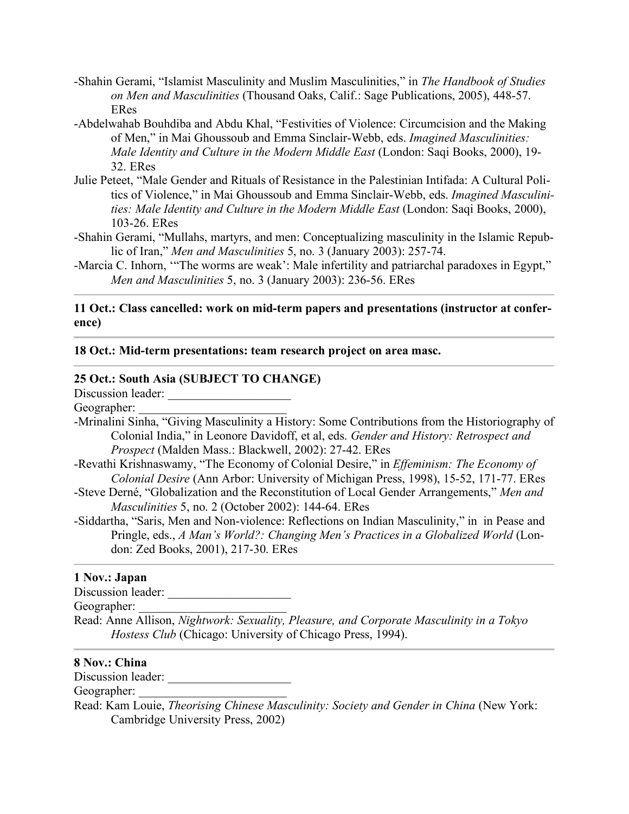- -Shahin Gerami, "Islamist Masculinity and Muslim Masculinities," in *The Handbook of Studies on Men and Masculinities* (Thousand Oaks, Calif.: Sage Publications, 2005), 448-57. ERes
- -Abdelwahab Bouhdiba and Abdu Khal, "Festivities of Violence: Circumcision and the Making of Men," in Mai Ghoussoub and Emma Sinclair-Webb, eds. *Imagined Masculinities: Male Identity and Culture in the Modern Middle East* (London: Saqi Books, 2000), 19- 32. ERes
- Julie Peteet, "Male Gender and Rituals of Resistance in the Palestinian Intifada: A Cultural Politics of Violence," in Mai Ghoussoub and Emma Sinclair-Webb, eds. *Imagined Masculinities: Male Identity and Culture in the Modern Middle East* (London: Saqi Books, 2000), 103-26. ERes
- -Shahin Gerami, "Mullahs, martyrs, and men: Conceptualizing masculinity in the Islamic Republic of Iran," *Men and Masculinities* 5, no. 3 (January 2003): 257-74.
- -Marcia C. Inhorn, '"The worms are weak': Male infertility and patriarchal paradoxes in Egypt," *Men and Masculinities* 5, no. 3 (January 2003): 236-56. ERes

# 11 Oct.: Class cancelled: work on mid-term papers and presentations (instructor at conference)

### 18 Oct.: Mid-term presentations: team research project on area masc.

### 25 Oct.: South Asia (SUBJECT TO CHANGE)

Discussion leader: \_\_\_\_\_\_\_\_\_\_\_\_\_\_\_\_\_\_\_\_

Geographer:

- -Mrinalini Sinha, "Giving Masculinity a History: Some Contributions from the Historiography of Colonial India," in Leonore Davidoff, et al, eds. *Gender and History: Retrospect and Prospect* (Malden Mass.: Blackwell, 2002): 27-42. ERes
- -Revathi Krishnaswamy, "The Economy of Colonial Desire," in *Effeminism: The Economy of Colonial Desire* (Ann Arbor: University of Michigan Press, 1998), 15-52, 171-77. ERes
- -Steve Derné, "Globalization and the Reconstitution of Local Gender Arrangements," *Men and Masculinities* 5, no. 2 (October 2002): 144-64. ERes
- -Siddartha, "Saris, Men and Non-violence: Reflections on Indian Masculinity," in in Pease and Pringle, eds., *A Man's World?: Changing Men's Practices in a Globalized World* (London: Zed Books, 2001), 217-30. ERes

#### 1 Nov.: Japan

Discussion leader: Geographer:

Read: Anne Allison, *Nightwork: Sexuality, Pleasure, and Corporate Masculinity in a Tokyo Hostess Club* (Chicago: University of Chicago Press, 1994).

# 8 Nov.: China

Discussion leader: \_\_\_\_\_\_\_\_\_\_\_\_\_\_\_\_\_\_\_\_

Geographer:

Read: Kam Louie, *Theorising Chinese Masculinity: Society and Gender in China* (New York: Cambridge University Press, 2002)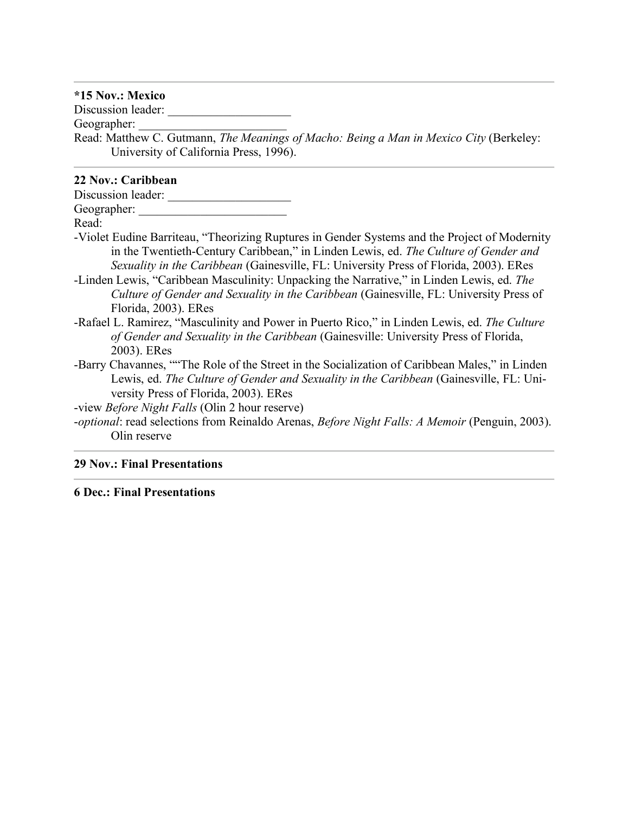#### \*15 Nov.: Mexico

Discussion leader: \_\_\_\_\_\_\_\_\_\_\_\_\_\_\_\_\_\_\_\_

Geographer:

Read: Matthew C. Gutmann, *The Meanings of Macho: Being a Man in Mexico City* (Berkeley: University of California Press, 1996).

# 22 Nov.: Caribbean

Discussion leader: \_\_\_\_\_\_\_\_\_\_\_\_\_\_\_\_\_\_\_\_ Geographer:

Read:

- -Violet Eudine Barriteau, "Theorizing Ruptures in Gender Systems and the Project of Modernity in the Twentieth-Century Caribbean," in Linden Lewis, ed. *The Culture of Gender and Sexuality in the Caribbean* (Gainesville, FL: University Press of Florida, 2003). ERes
- -Linden Lewis, "Caribbean Masculinity: Unpacking the Narrative," in Linden Lewis, ed. *The Culture of Gender and Sexuality in the Caribbean* (Gainesville, FL: University Press of Florida, 2003). ERes
- -Rafael L. Ramirez, "Masculinity and Power in Puerto Rico," in Linden Lewis, ed. *The Culture of Gender and Sexuality in the Caribbean* (Gainesville: University Press of Florida, 2003). ERes
- -Barry Chavannes, ""The Role of the Street in the Socialization of Caribbean Males," in Linden Lewis, ed. *The Culture of Gender and Sexuality in the Caribbean* (Gainesville, FL: University Press of Florida, 2003). ERes
- -view *Before Night Falls* (Olin 2 hour reserve)
- -*optional*: read selections from Reinaldo Arenas, *Before Night Falls: A Memoir* (Penguin, 2003). Olin reserve

## 29 Nov.: Final Presentations

## 6 Dec.: Final Presentations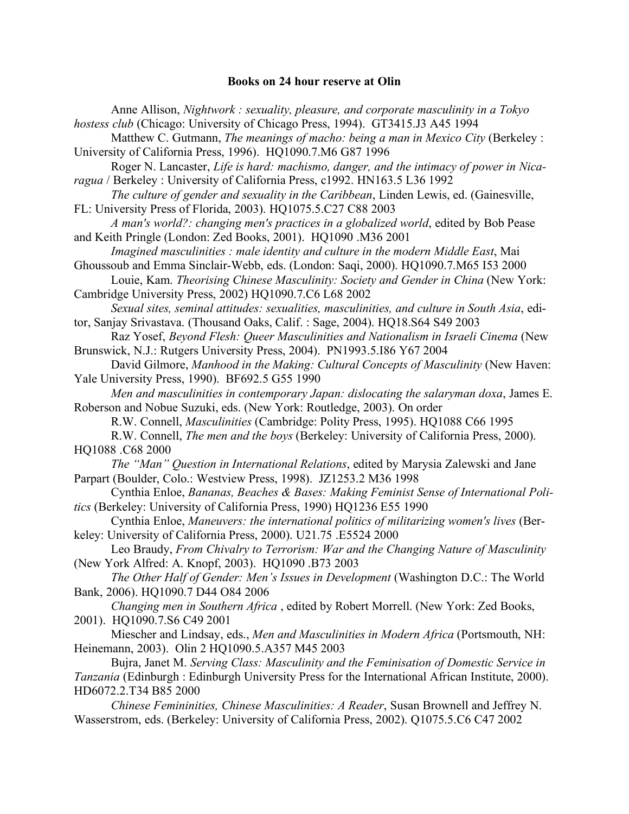#### Books on 24 hour reserve at Olin

Anne Allison, *Nightwork : sexuality, pleasure, and corporate masculinity in a Tokyo hostess club* (Chicago: University of Chicago Press, 1994). GT3415.J3 A45 1994 Matthew C. Gutmann, *The meanings of macho: being a man in Mexico City* (Berkeley : University of California Press, 1996). HQ1090.7.M6 G87 1996 Roger N. Lancaster, *Life is hard: machismo, danger, and the intimacy of power in Nicaragua* / Berkeley : University of California Press, c1992. HN163.5 L36 1992 *The culture of gender and sexuality in the Caribbean*, Linden Lewis, ed. (Gainesville, FL: University Press of Florida, 2003). HQ1075.5.C27 C88 2003 *A man's world?: changing men's practices in a globalized world*, edited by Bob Pease and Keith Pringle (London: Zed Books, 2001). HQ1090 .M36 2001 *Imagined masculinities : male identity and culture in the modern Middle East*, Mai Ghoussoub and Emma Sinclair-Webb, eds. (London: Saqi, 2000). HQ1090.7.M65 I53 2000 Louie, Kam. *Theorising Chinese Masculinity: Society and Gender in China* (New York: Cambridge University Press, 2002) HQ1090.7.C6 L68 2002 *Sexual sites, seminal attitudes: sexualities, masculinities, and culture in South Asia*, editor, Sanjay Srivastava. (Thousand Oaks, Calif. : Sage, 2004). HQ18.S64 S49 2003 Raz Yosef, *Beyond Flesh: Queer Masculinities and Nationalism in Israeli Cinema* (New Brunswick, N.J.: Rutgers University Press, 2004). PN1993.5.I86 Y67 2004 David Gilmore, *Manhood in the Making: Cultural Concepts of Masculinity* (New Haven: Yale University Press, 1990). BF692.5 G55 1990 *Men and masculinities in contemporary Japan: dislocating the salaryman doxa*, James E. Roberson and Nobue Suzuki, eds. (New York: Routledge, 2003). On order R.W. Connell, *Masculinities* (Cambridge: Polity Press, 1995). HQ1088 C66 1995 R.W. Connell, *The men and the boys* (Berkeley: University of California Press, 2000). HQ1088 .C68 2000 *The "Man" Question in International Relations*, edited by Marysia Zalewski and Jane Parpart (Boulder, Colo.: Westview Press, 1998). JZ1253.2 M36 1998 Cynthia Enloe, *Bananas, Beaches & Bases: Making Feminist Sense of International Politics* (Berkeley: University of California Press, 1990) HQ1236 E55 1990 Cynthia Enloe, *Maneuvers: the international politics of militarizing women's lives* (Berkeley: University of California Press, 2000). U21.75 .E5524 2000 Leo Braudy, *From Chivalry to Terrorism: War and the Changing Nature of Masculinity* (New York Alfred: A. Knopf, 2003). HQ1090 .B73 2003 *The Other Half of Gender: Men's Issues in Development* (Washington D.C.: The World Bank, 2006). HQ1090.7 D44 O84 2006 *Changing men in Southern Africa* , edited by Robert Morrell. (New York: Zed Books, 2001). HQ1090.7.S6 C49 2001 Miescher and Lindsay, eds., *Men and Masculinities in Modern Africa* (Portsmouth, NH: Heinemann, 2003). Olin 2 HQ1090.5.A357 M45 2003 Bujra, Janet M. *Serving Class: Masculinity and the Feminisation of Domestic Service in Tanzania* (Edinburgh : Edinburgh University Press for the International African Institute, 2000). HD6072.2.T34 B85 2000 *Chinese Femininities, Chinese Masculinities: A Reader*, Susan Brownell and Jeffrey N. Wasserstrom, eds. (Berkeley: University of California Press, 2002). Q1075.5.C6 C47 2002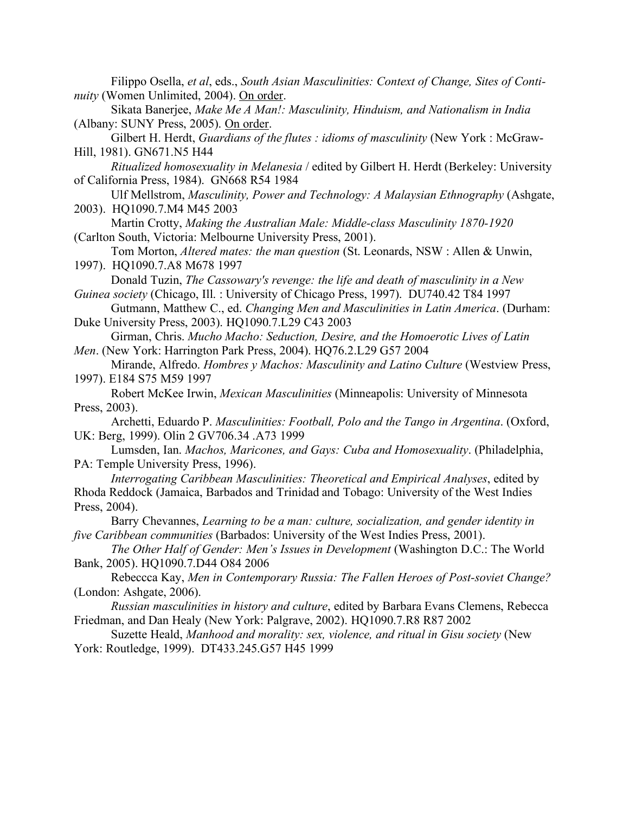Filippo Osella, *et al*, eds., *South Asian Masculinities: Context of Change, Sites of Continuity* (Women Unlimited, 2004). On order.

Sikata Banerjee, *Make Me A Man!: Masculinity, Hinduism, and Nationalism in India* (Albany: SUNY Press, 2005). On order.

Gilbert H. Herdt, *Guardians of the flutes : idioms of masculinity* (New York : McGraw-Hill, 1981). GN671.N5 H44

*Ritualized homosexuality in Melanesia* / edited by Gilbert H. Herdt (Berkeley: University of California Press, 1984). GN668 R54 1984

Ulf Mellstrom, *Masculinity, Power and Technology: A Malaysian Ethnography* (Ashgate, 2003). HQ1090.7.M4 M45 2003

Martin Crotty, *Making the Australian Male: Middle-class Masculinity 1870-1920* (Carlton South, Victoria: Melbourne University Press, 2001).

Tom Morton, *Altered mates: the man question* (St. Leonards, NSW : Allen & Unwin, 1997). HQ1090.7.A8 M678 1997

Donald Tuzin, *The Cassowary's revenge: the life and death of masculinity in a New Guinea society* (Chicago, Ill. : University of Chicago Press, 1997). DU740.42 T84 1997

Gutmann, Matthew C., ed. *Changing Men and Masculinities in Latin America*. (Durham: Duke University Press, 2003). HQ1090.7.L29 C43 2003

Girman, Chris. *Mucho Macho: Seduction, Desire, and the Homoerotic Lives of Latin Men*. (New York: Harrington Park Press, 2004). HQ76.2.L29 G57 2004

Mirande, Alfredo. *Hombres y Machos: Masculinity and Latino Culture* (Westview Press, 1997). E184 S75 M59 1997

Robert McKee Irwin, *Mexican Masculinities* (Minneapolis: University of Minnesota Press, 2003).

Archetti, Eduardo P. *Masculinities: Football, Polo and the Tango in Argentina*. (Oxford, UK: Berg, 1999). Olin 2 GV706.34 .A73 1999

Lumsden, Ian. *Machos, Maricones, and Gays: Cuba and Homosexuality*. (Philadelphia, PA: Temple University Press, 1996).

*Interrogating Caribbean Masculinities: Theoretical and Empirical Analyses*, edited by Rhoda Reddock (Jamaica, Barbados and Trinidad and Tobago: University of the West Indies Press, 2004).

Barry Chevannes, *Learning to be a man: culture, socialization, and gender identity in five Caribbean communities* (Barbados: University of the West Indies Press, 2001).

*The Other Half of Gender: Men's Issues in Development* (Washington D.C.: The World Bank, 2005). HQ1090.7.D44 O84 2006

Rebeccca Kay, *Men in Contemporary Russia: The Fallen Heroes of Post-soviet Change?* (London: Ashgate, 2006).

*Russian masculinities in history and culture*, edited by Barbara Evans Clemens, Rebecca Friedman, and Dan Healy (New York: Palgrave, 2002). HQ1090.7.R8 R87 2002

Suzette Heald, *Manhood and morality: sex, violence, and ritual in Gisu society* (New York: Routledge, 1999). DT433.245.G57 H45 1999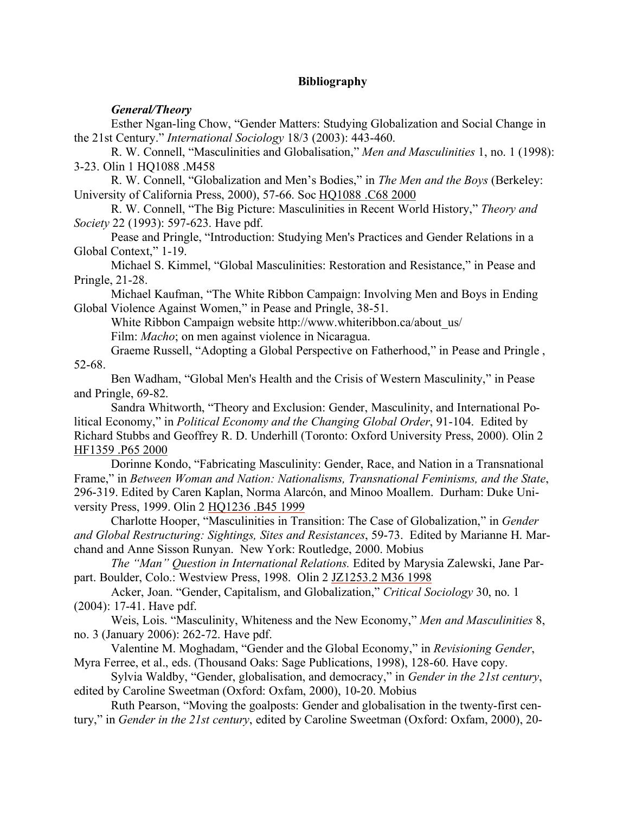# Bibliography

### *General/Theory*

Esther Ngan-ling Chow, "Gender Matters: Studying Globalization and Social Change in the 21st Century." *International Sociology* 18/3 (2003): 443-460.

R. W. Connell, "Masculinities and Globalisation," *Men and Masculinities* 1, no. 1 (1998): 3-23. Olin 1 HQ1088 .M458

R. W. Connell, "Globalization and Men's Bodies," in *The Men and the Boys* (Berkeley: University of California Press, 2000), 57-66. Soc HQ1088 .C68 2000

R. W. Connell, "The Big Picture: Masculinities in Recent World History," *Theory and Society* 22 (1993): 597-623. Have pdf.

Pease and Pringle, "Introduction: Studying Men's Practices and Gender Relations in a Global Context," 1-19.

Michael S. Kimmel, "Global Masculinities: Restoration and Resistance," in Pease and Pringle, 21-28.

Michael Kaufman, "The White Ribbon Campaign: Involving Men and Boys in Ending Global Violence Against Women," in Pease and Pringle, 38-51.

White Ribbon Campaign website http://www.whiteribbon.ca/about\_us/

Film: *Macho*; on men against violence in Nicaragua.

Graeme Russell, "Adopting a Global Perspective on Fatherhood," in Pease and Pringle , 52-68.

Ben Wadham, "Global Men's Health and the Crisis of Western Masculinity," in Pease and Pringle, 69-82.

Sandra Whitworth, "Theory and Exclusion: Gender, Masculinity, and International Political Economy," in *Political Economy and the Changing Global Order*, 91-104. Edited by Richard Stubbs and Geoffrey R. D. Underhill (Toronto: Oxford University Press, 2000). Olin 2 HF1359 .P65 2000

Dorinne Kondo, "Fabricating Masculinity: Gender, Race, and Nation in a Transnational Frame," in *Between Woman and Nation: Nationalisms, Transnational Feminisms, and the State*, 296-319. Edited by Caren Kaplan, Norma Alarcón, and Minoo Moallem. Durham: Duke University Press, 1999. Olin 2 HQ1236 .B45 1999

Charlotte Hooper, "Masculinities in Transition: The Case of Globalization," in *Gender and Global Restructuring: Sightings, Sites and Resistances*, 59-73. Edited by Marianne H. Marchand and Anne Sisson Runyan. New York: Routledge, 2000. Mobius

*The "Man" Question in International Relations.* Edited by Marysia Zalewski, Jane Parpart. Boulder, Colo.: Westview Press, 1998. Olin 2 JZ1253.2 M36 1998

Acker, Joan. "Gender, Capitalism, and Globalization," *Critical Sociology* 30, no. 1 (2004): 17-41. Have pdf.

Weis, Lois. "Masculinity, Whiteness and the New Economy," *Men and Masculinities* 8, no. 3 (January 2006): 262-72. Have pdf.

Valentine M. Moghadam, "Gender and the Global Economy," in *Revisioning Gender*, Myra Ferree, et al., eds. (Thousand Oaks: Sage Publications, 1998), 128-60. Have copy.

Sylvia Waldby, "Gender, globalisation, and democracy," in *Gender in the 21st century*, edited by Caroline Sweetman (Oxford: Oxfam, 2000), 10-20. Mobius

Ruth Pearson, "Moving the goalposts: Gender and globalisation in the twenty-first century," in *Gender in the 21st century*, edited by Caroline Sweetman (Oxford: Oxfam, 2000), 20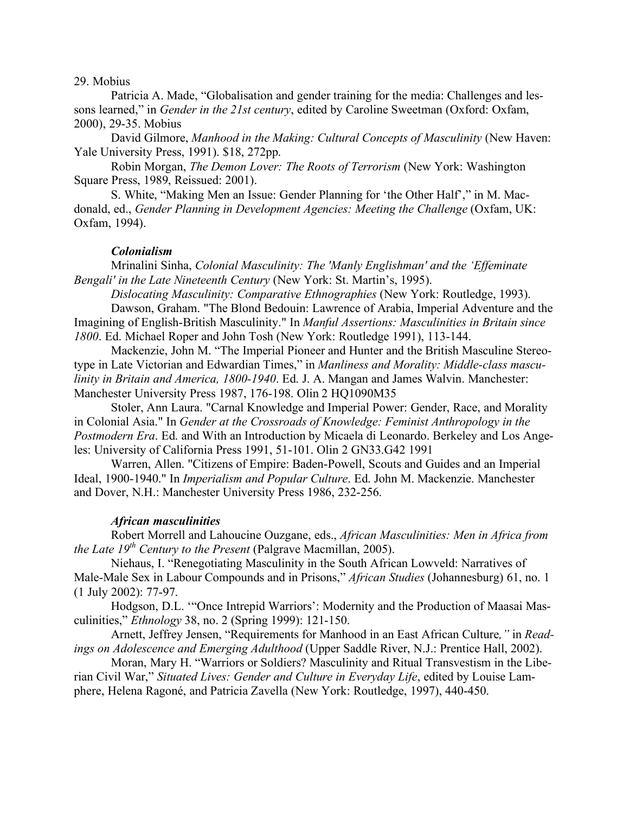29. Mobius

Patricia A. Made, "Globalisation and gender training for the media: Challenges and lessons learned," in *Gender in the 21st century*, edited by Caroline Sweetman (Oxford: Oxfam, 2000), 29-35. Mobius

David Gilmore, *Manhood in the Making: Cultural Concepts of Masculinity* (New Haven: Yale University Press, 1991). \$18, 272pp.

Robin Morgan, *The Demon Lover: The Roots of Terrorism* (New York: Washington Square Press, 1989, Reissued: 2001).

S. White, "Making Men an Issue: Gender Planning for 'the Other Half'," in M. Macdonald, ed., *Gender Planning in Development Agencies: Meeting the Challenge* (Oxfam, UK: Oxfam, 1994).

#### *Colonialism*

Mrinalini Sinha, *Colonial Masculinity: The 'Manly Englishman' and the 'Effeminate Bengali' in the Late Nineteenth Century* (New York: St. Martin's, 1995).

*Dislocating Masculinity: Comparative Ethnographies* (New York: Routledge, 1993).

Dawson, Graham. "The Blond Bedouin: Lawrence of Arabia, Imperial Adventure and the Imagining of English-British Masculinity." In *Manful Assertions: Masculinities in Britain since 1800*. Ed. Michael Roper and John Tosh (New York: Routledge 1991), 113-144.

Mackenzie, John M. "The Imperial Pioneer and Hunter and the British Masculine Stereotype in Late Victorian and Edwardian Times," in *Manliness and Morality: Middle-class masculinity in Britain and America, 1800-1940*. Ed. J. A. Mangan and James Walvin. Manchester: Manchester University Press 1987, 176-198. Olin 2 HQ1090M35

Stoler, Ann Laura. "Carnal Knowledge and Imperial Power: Gender, Race, and Morality in Colonial Asia." In *Gender at the Crossroads of Knowledge: Feminist Anthropology in the Postmodern Era*. Ed. and With an Introduction by Micaela di Leonardo. Berkeley and Los Angeles: University of California Press 1991, 51-101. Olin 2 GN33.G42 1991

Warren, Allen. "Citizens of Empire: Baden-Powell, Scouts and Guides and an Imperial Ideal, 1900-1940." In *Imperialism and Popular Culture*. Ed. John M. Mackenzie. Manchester and Dover, N.H.: Manchester University Press 1986, 232-256.

#### *African masculinities*

Robert Morrell and Lahoucine Ouzgane, eds., *African Masculinities: Men in Africa from the Late 19th Century to the Present* (Palgrave Macmillan, 2005).

Niehaus, I. "Renegotiating Masculinity in the South African Lowveld: Narratives of Male-Male Sex in Labour Compounds and in Prisons," *African Studies* (Johannesburg) 61, no. 1 (1 July 2002): 77-97.

Hodgson, D.L. '"Once Intrepid Warriors': Modernity and the Production of Maasai Masculinities," *Ethnology* 38, no. 2 (Spring 1999): 121-150.

Arnett, Jeffrey Jensen, "Requirements for Manhood in an East African Culture*,"* in *Readings on Adolescence and Emerging Adulthood* (Upper Saddle River, N.J.: Prentice Hall, 2002).

Moran, Mary H. "Warriors or Soldiers? Masculinity and Ritual Transvestism in the Liberian Civil War," *Situated Lives: Gender and Culture in Everyday Life*, edited by Louise Lamphere, Helena Ragoné, and Patricia Zavella (New York: Routledge, 1997), 440-450.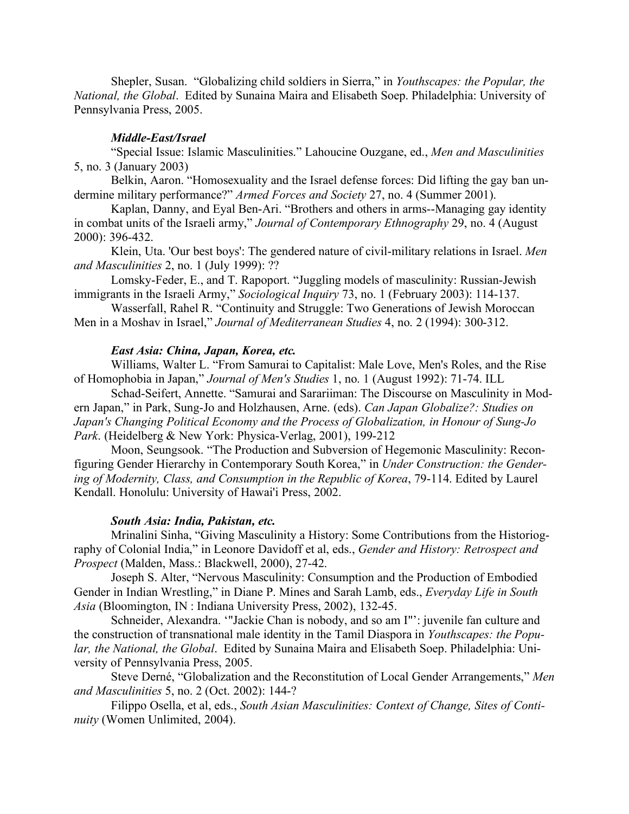Shepler, Susan. "Globalizing child soldiers in Sierra," in *Youthscapes: the Popular, the National, the Global*. Edited by Sunaina Maira and Elisabeth Soep. Philadelphia: University of Pennsylvania Press, 2005.

#### *Middle-East/Israel*

"Special Issue: Islamic Masculinities." Lahoucine Ouzgane, ed., *Men and Masculinities* 5, no. 3 (January 2003)

Belkin, Aaron. "Homosexuality and the Israel defense forces: Did lifting the gay ban undermine military performance?" *Armed Forces and Society* 27, no. 4 (Summer 2001).

Kaplan, Danny, and Eyal Ben-Ari. "Brothers and others in arms--Managing gay identity in combat units of the Israeli army," *Journal of Contemporary Ethnography* 29, no. 4 (August 2000): 396-432.

Klein, Uta. 'Our best boys': The gendered nature of civil-military relations in Israel. *Men and Masculinities* 2, no. 1 (July 1999): ??

Lomsky-Feder, E., and T. Rapoport. "Juggling models of masculinity: Russian-Jewish immigrants in the Israeli Army," *Sociological Inquiry* 73, no. 1 (February 2003): 114-137.

Wasserfall, Rahel R. "Continuity and Struggle: Two Generations of Jewish Moroccan Men in a Moshav in Israel," *Journal of Mediterranean Studies* 4, no. 2 (1994): 300-312.

#### *East Asia: China, Japan, Korea, etc.*

Williams, Walter L. "From Samurai to Capitalist: Male Love, Men's Roles, and the Rise of Homophobia in Japan," *Journal of Men's Studies* 1, no. 1 (August 1992): 71-74. ILL

Schad-Seifert, Annette. "Samurai and Sarariiman: The Discourse on Masculinity in Modern Japan," in Park, Sung-Jo and Holzhausen, Arne. (eds). *Can Japan Globalize?: Studies on Japan's Changing Political Economy and the Process of Globalization, in Honour of Sung-Jo Park*. (Heidelberg & New York: Physica-Verlag, 2001), 199-212

Moon, Seungsook. "The Production and Subversion of Hegemonic Masculinity: Reconfiguring Gender Hierarchy in Contemporary South Korea," in *Under Construction: the Gendering of Modernity, Class, and Consumption in the Republic of Korea*, 79-114. Edited by Laurel Kendall. Honolulu: University of Hawai'i Press, 2002.

#### *South Asia: India, Pakistan, etc.*

Mrinalini Sinha, "Giving Masculinity a History: Some Contributions from the Historiography of Colonial India," in Leonore Davidoff et al, eds., *Gender and History: Retrospect and Prospect* (Malden, Mass.: Blackwell, 2000), 27-42.

Joseph S. Alter, "Nervous Masculinity: Consumption and the Production of Embodied Gender in Indian Wrestling," in Diane P. Mines and Sarah Lamb, eds., *Everyday Life in South Asia* (Bloomington, IN : Indiana University Press, 2002), 132-45.

Schneider, Alexandra. '"Jackie Chan is nobody, and so am I"': juvenile fan culture and the construction of transnational male identity in the Tamil Diaspora in *Youthscapes: the Popular, the National, the Global*. Edited by Sunaina Maira and Elisabeth Soep. Philadelphia: University of Pennsylvania Press, 2005.

Steve Derné, "Globalization and the Reconstitution of Local Gender Arrangements," *Men and Masculinities* 5, no. 2 (Oct. 2002): 144-?

Filippo Osella, et al, eds., *South Asian Masculinities: Context of Change, Sites of Continuity* (Women Unlimited, 2004).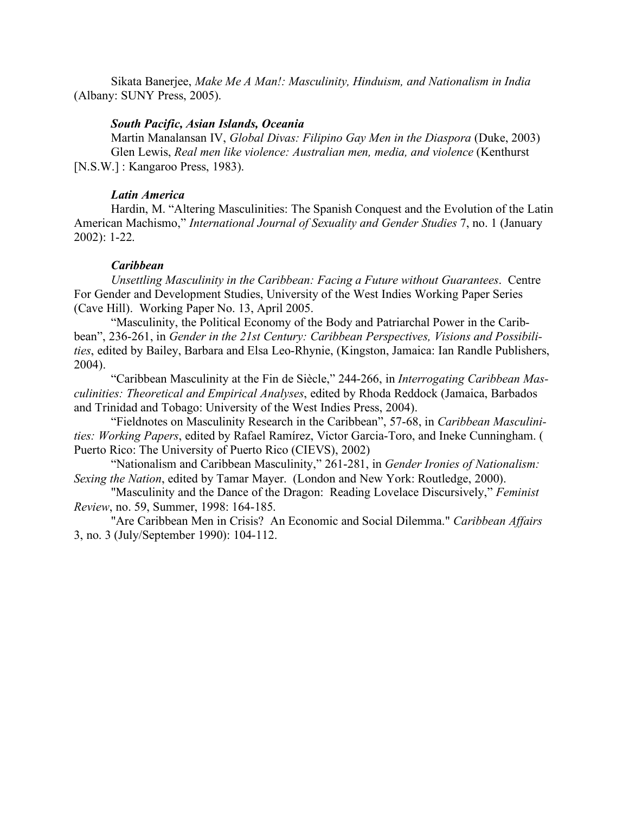Sikata Banerjee, *Make Me A Man!: Masculinity, Hinduism, and Nationalism in India* (Albany: SUNY Press, 2005).

#### *South Pacific, Asian Islands, Oceania*

Martin Manalansan IV, *Global Divas: Filipino Gay Men in the Diaspora* (Duke, 2003) Glen Lewis, *Real men like violence: Australian men, media, and violence* (Kenthurst [N.S.W.] : Kangaroo Press, 1983).

#### *Latin America*

Hardin, M. "Altering Masculinities: The Spanish Conquest and the Evolution of the Latin American Machismo," *International Journal of Sexuality and Gender Studies* 7, no. 1 (January 2002): 1-22.

#### *Caribbean*

*Unsettling Masculinity in the Caribbean: Facing a Future without Guarantees*. Centre For Gender and Development Studies, University of the West Indies Working Paper Series (Cave Hill). Working Paper No. 13, April 2005.

"Masculinity, the Political Economy of the Body and Patriarchal Power in the Caribbean", 236-261, in *Gender in the 21st Century: Caribbean Perspectives, Visions and Possibilities*, edited by Bailey, Barbara and Elsa Leo-Rhynie, (Kingston, Jamaica: Ian Randle Publishers, 2004).

"Caribbean Masculinity at the Fin de Siècle," 244-266, in *Interrogating Caribbean Masculinities: Theoretical and Empirical Analyses*, edited by Rhoda Reddock (Jamaica, Barbados and Trinidad and Tobago: University of the West Indies Press, 2004).

"Fieldnotes on Masculinity Research in the Caribbean", 57-68, in *Caribbean Masculinities: Working Papers*, edited by Rafael Ramírez, Victor Garcia-Toro, and Ineke Cunningham. ( Puerto Rico: The University of Puerto Rico (CIEVS), 2002)

"Nationalism and Caribbean Masculinity," 261-281, in *Gender Ironies of Nationalism: Sexing the Nation*, edited by Tamar Mayer. (London and New York: Routledge, 2000).

"Masculinity and the Dance of the Dragon: Reading Lovelace Discursively," *Feminist Review*, no. 59, Summer, 1998: 164-185.

"Are Caribbean Men in Crisis? An Economic and Social Dilemma." *Caribbean Affairs* 3, no. 3 (July/September 1990): 104-112.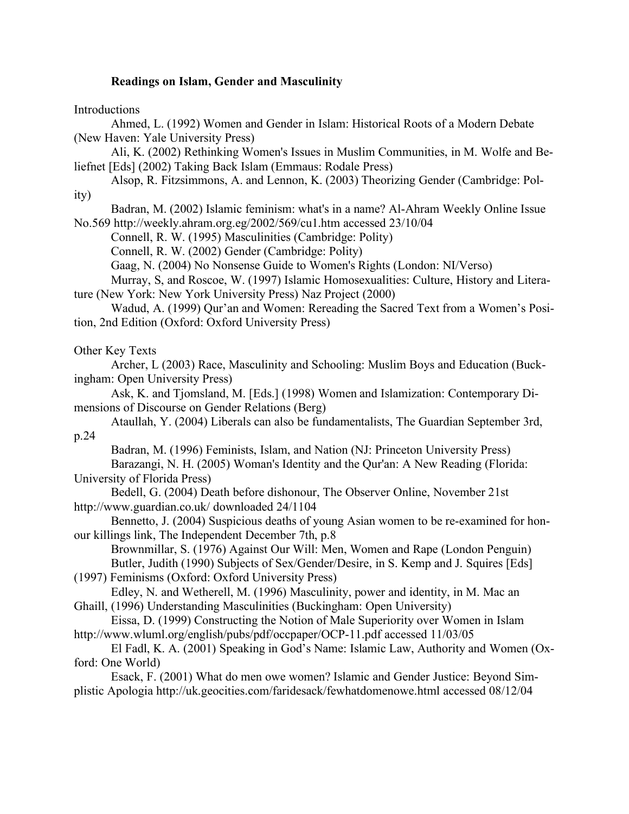# Readings on Islam, Gender and Masculinity

Introductions

Ahmed, L. (1992) Women and Gender in Islam: Historical Roots of a Modern Debate (New Haven: Yale University Press)

Ali, K. (2002) Rethinking Women's Issues in Muslim Communities, in M. Wolfe and Beliefnet [Eds] (2002) Taking Back Islam (Emmaus: Rodale Press)

Alsop, R. Fitzsimmons, A. and Lennon, K. (2003) Theorizing Gender (Cambridge: Polity)

Badran, M. (2002) Islamic feminism: what's in a name? Al-Ahram Weekly Online Issue No.569 http://weekly.ahram.org.eg/2002/569/cu1.htm accessed 23/10/04

Connell, R. W. (1995) Masculinities (Cambridge: Polity)

Connell, R. W. (2002) Gender (Cambridge: Polity)

Gaag, N. (2004) No Nonsense Guide to Women's Rights (London: NI/Verso)

Murray, S, and Roscoe, W. (1997) Islamic Homosexualities: Culture, History and Literature (New York: New York University Press) Naz Project (2000)

Wadud, A. (1999) Qur'an and Women: Rereading the Sacred Text from a Women's Position, 2nd Edition (Oxford: Oxford University Press)

Other Key Texts

Archer, L (2003) Race, Masculinity and Schooling: Muslim Boys and Education (Buckingham: Open University Press)

Ask, K. and Tjomsland, M. [Eds.] (1998) Women and Islamization: Contemporary Dimensions of Discourse on Gender Relations (Berg)

Ataullah, Y. (2004) Liberals can also be fundamentalists, The Guardian September 3rd, p.24

Badran, M. (1996) Feminists, Islam, and Nation (NJ: Princeton University Press) Barazangi, N. H. (2005) Woman's Identity and the Qur'an: A New Reading (Florida:

University of Florida Press)

Bedell, G. (2004) Death before dishonour, The Observer Online, November 21st http://www.guardian.co.uk/ downloaded 24/1104

Bennetto, J. (2004) Suspicious deaths of young Asian women to be re-examined for honour killings link, The Independent December 7th, p.8

Brownmillar, S. (1976) Against Our Will: Men, Women and Rape (London Penguin) Butler, Judith (1990) Subjects of Sex/Gender/Desire, in S. Kemp and J. Squires [Eds]

(1997) Feminisms (Oxford: Oxford University Press)

Edley, N. and Wetherell, M. (1996) Masculinity, power and identity, in M. Mac an Ghaill, (1996) Understanding Masculinities (Buckingham: Open University)

Eissa, D. (1999) Constructing the Notion of Male Superiority over Women in Islam http://www.wluml.org/english/pubs/pdf/occpaper/OCP-11.pdf accessed 11/03/05

El Fadl, K. A. (2001) Speaking in God's Name: Islamic Law, Authority and Women (Oxford: One World)

Esack, F. (2001) What do men owe women? Islamic and Gender Justice: Beyond Simplistic Apologia http://uk.geocities.com/faridesack/fewhatdomenowe.html accessed 08/12/04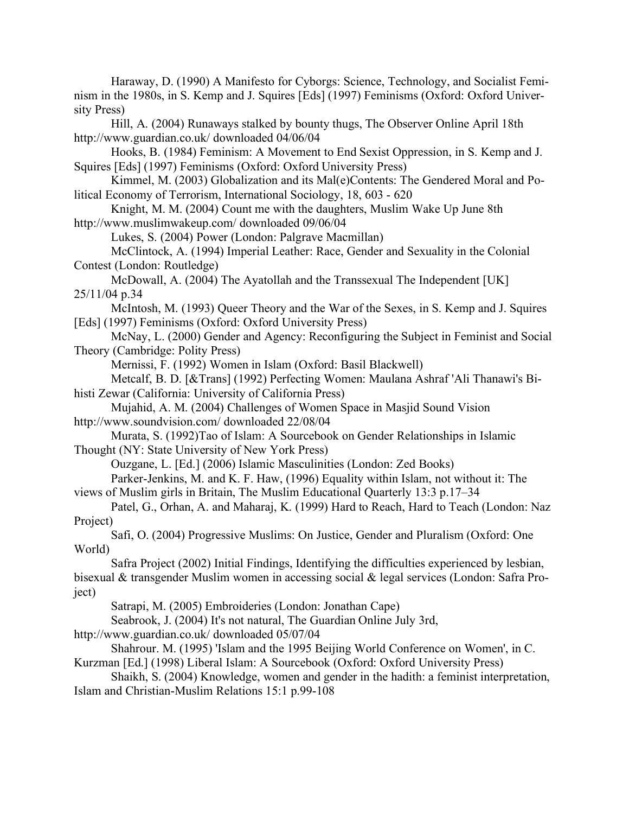Haraway, D. (1990) A Manifesto for Cyborgs: Science, Technology, and Socialist Feminism in the 1980s, in S. Kemp and J. Squires [Eds] (1997) Feminisms (Oxford: Oxford University Press)

Hill, A. (2004) Runaways stalked by bounty thugs, The Observer Online April 18th http://www.guardian.co.uk/ downloaded 04/06/04

Hooks, B. (1984) Feminism: A Movement to End Sexist Oppression, in S. Kemp and J. Squires [Eds] (1997) Feminisms (Oxford: Oxford University Press)

Kimmel, M. (2003) Globalization and its Mal(e)Contents: The Gendered Moral and Political Economy of Terrorism, International Sociology, 18, 603 - 620

Knight, M. M. (2004) Count me with the daughters, Muslim Wake Up June 8th http://www.muslimwakeup.com/ downloaded 09/06/04

Lukes, S. (2004) Power (London: Palgrave Macmillan)

McClintock, A. (1994) Imperial Leather: Race, Gender and Sexuality in the Colonial Contest (London: Routledge)

McDowall, A. (2004) The Ayatollah and the Transsexual The Independent [UK] 25/11/04 p.34

McIntosh, M. (1993) Queer Theory and the War of the Sexes, in S. Kemp and J. Squires [Eds] (1997) Feminisms (Oxford: Oxford University Press)

McNay, L. (2000) Gender and Agency: Reconfiguring the Subject in Feminist and Social Theory (Cambridge: Polity Press)

Mernissi, F. (1992) Women in Islam (Oxford: Basil Blackwell)

Metcalf, B. D. [&Trans] (1992) Perfecting Women: Maulana Ashraf 'Ali Thanawi's Bihisti Zewar (California: University of California Press)

Mujahid, A. M. (2004) Challenges of Women Space in Masjid Sound Vision http://www.soundvision.com/ downloaded 22/08/04

Murata, S. (1992)Tao of Islam: A Sourcebook on Gender Relationships in Islamic Thought (NY: State University of New York Press)

Ouzgane, L. [Ed.] (2006) Islamic Masculinities (London: Zed Books)

Parker-Jenkins, M. and K. F. Haw, (1996) Equality within Islam, not without it: The views of Muslim girls in Britain, The Muslim Educational Quarterly 13:3 p.17–34

Patel, G., Orhan, A. and Maharaj, K. (1999) Hard to Reach, Hard to Teach (London: Naz Project)

Safi, O. (2004) Progressive Muslims: On Justice, Gender and Pluralism (Oxford: One World)

Safra Project (2002) Initial Findings, Identifying the difficulties experienced by lesbian, bisexual & transgender Muslim women in accessing social & legal services (London: Safra Project)

Satrapi, M. (2005) Embroideries (London: Jonathan Cape)

Seabrook, J. (2004) It's not natural, The Guardian Online July 3rd,

http://www.guardian.co.uk/ downloaded 05/07/04

Shahrour. M. (1995) 'Islam and the 1995 Beijing World Conference on Women', in C. Kurzman [Ed.] (1998) Liberal Islam: A Sourcebook (Oxford: Oxford University Press)

Shaikh, S. (2004) Knowledge, women and gender in the hadith: a feminist interpretation, Islam and Christian-Muslim Relations 15:1 p.99-108